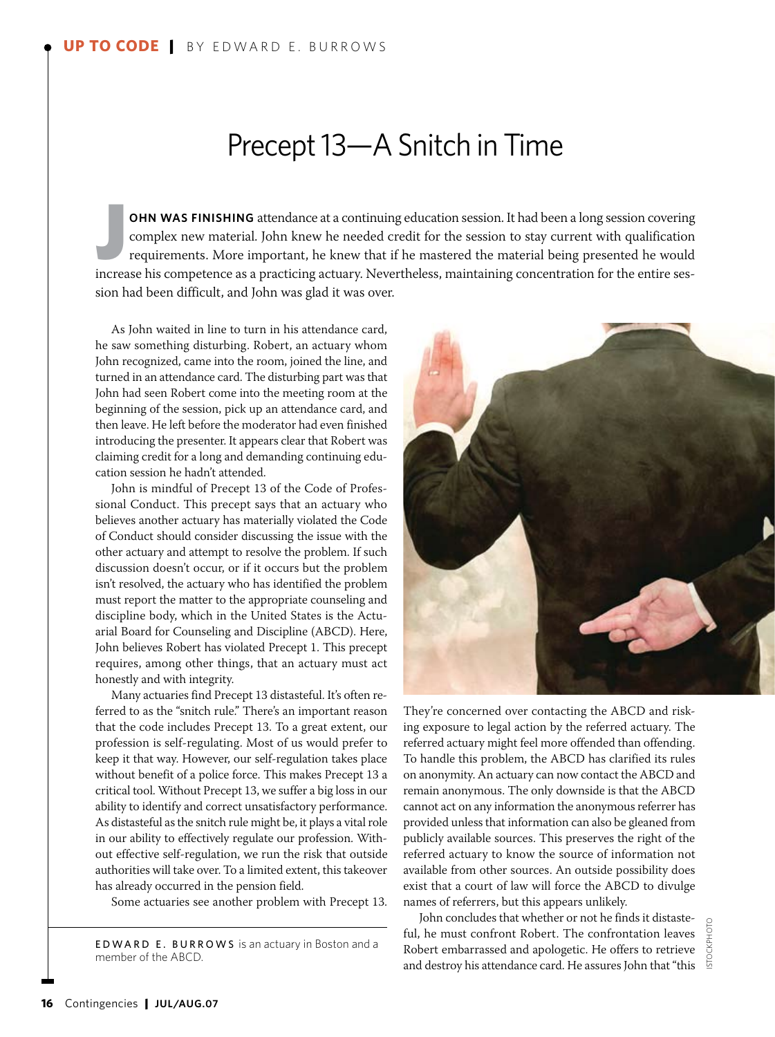## Precept 13—A Snitch in Time

**OHN WAS FINISHING** attendance at a continuing education session. It had been a long session covering complex new material. John knew he needed credit for the session to stay current with qualification requirements. More i complex new material. John knew he needed credit for the session to stay current with qualification increase his competence as a practicing actuary. Nevertheless, maintaining concentration for the entire session had been difficult, and John was glad it was over.

As John waited in line to turn in his attendance card, he saw something disturbing. Robert, an actuary whom John recognized, came into the room, joined the line, and turned in an attendance card. The disturbing part was that John had seen Robert come into the meeting room at the beginning of the session, pick up an attendance card, and then leave. He left before the moderator had even finished introducing the presenter. It appears clear that Robert was claiming credit for a long and demanding continuing education session he hadn't attended.

John is mindful of Precept 13 of the Code of Professional Conduct. This precept says that an actuary who believes another actuary has materially violated the Code of Conduct should consider discussing the issue with the other actuary and attempt to resolve the problem. If such discussion doesn't occur, or if it occurs but the problem isn't resolved, the actuary who has identified the problem must report the matter to the appropriate counseling and discipline body, which in the United States is the Actuarial Board for Counseling and Discipline (ABCD). Here, John believes Robert has violated Precept 1. This precept requires, among other things, that an actuary must act honestly and with integrity.

Many actuaries find Precept 13 distasteful. It's often referred to as the "snitch rule." There's an important reason that the code includes Precept 13. To a great extent, our profession is self-regulating. Most of us would prefer to keep it that way. However, our self-regulation takes place without benefit of a police force. This makes Precept 13 a critical tool. Without Precept 13, we suffer a big loss in our ability to identify and correct unsatisfactory performance. As distasteful as the snitch rule might be, it plays a vital role in our ability to effectively regulate our profession. Without effective self-regulation, we run the risk that outside authorities will take over. To a limited extent, this takeover has already occurred in the pension field.

Some actuaries see another problem with Precept 13.

ED WARD E. BURROWS is an actuary in Boston and a member of the ABCD.



They're concerned over contacting the ABCD and risking exposure to legal action by the referred actuary. The referred actuary might feel more offended than offending. To handle this problem, the ABCD has clarified its rules on anonymity. An actuary can now contact the ABCD and remain anonymous. The only downside is that the ABCD cannot act on any information the anonymous referrer has provided unless that information can also be gleaned from publicly available sources. This preserves the right of the referred actuary to know the source of information not available from other sources. An outside possibility does exist that a court of law will force the ABCD to divulge names of referrers, but this appears unlikely.

John concludes that whether or not he finds it distasteful, he must confront Robert. The confrontation leaves Robert embarrassed and apologetic. He offers to retrieve and destroy his attendance card. He assures John that "this